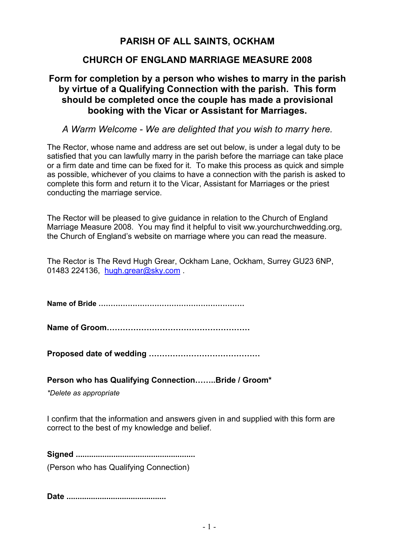# **PARISH OF ALL SAINTS, OCKHAM**

## **CHURCH OF ENGLAND MARRIAGE MEASURE 2008**

## **Form for completion by a person who wishes to marry in the parish by virtue of a Qualifying Connection with the parish. This form should be completed once the couple has made a provisional booking with the Vicar or Assistant for Marriages.**

## *A Warm Welcome - We are delighted that you wish to marry here.*

The Rector, whose name and address are set out below, is under a legal duty to be satisfied that you can lawfully marry in the parish before the marriage can take place or a firm date and time can be fixed for it. To make this process as quick and simple as possible, whichever of you claims to have a connection with the parish is asked to complete this form and return it to the Vicar, Assistant for Marriages or the priest conducting the marriage service.

The Rector will be pleased to give guidance in relation to the Church of England Marriage Measure 2008. You may find it helpful to visit ww.yourchurchwedding.org, the Church of England's website on marriage where you can read the measure.

The Rector is The Revd Hugh Grear, Ockham Lane, Ockham, Surrey GU23 6NP, 01483 224136, hugh.grear@sky.com

**Name of Bride ……………………………………………………**

**Name of Groom………………………………………………**

**Proposed date of wedding ……………………………………**

**Person who has Qualifying Connection……..Bride / Groom\***

*\*Delete as appropriate* 

I confirm that the information and answers given in and supplied with this form are correct to the best of my knowledge and belief.

**Signed ......................................................**  (Person who has Qualifying Connection)

**Date .............................................**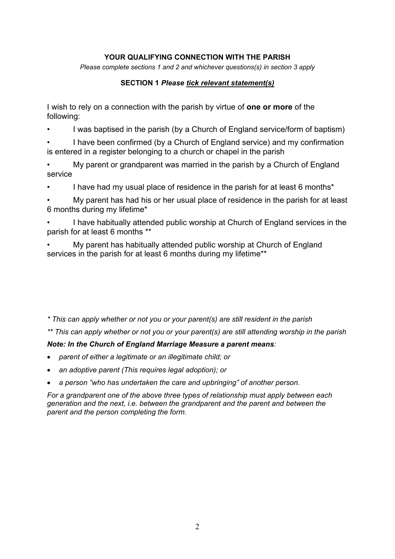#### **YOUR QUALIFYING CONNECTION WITH THE PARISH**

*Please complete sections 1 and 2 and whichever questions(s) in section 3 apply* 

#### **SECTION 1** *Please tick relevant statement(s)*

I wish to rely on a connection with the parish by virtue of **one or more** of the following:

• I was baptised in the parish (by a Church of England service/form of baptism)

• I have been confirmed (by a Church of England service) and my confirmation is entered in a register belonging to a church or chapel in the parish

• My parent or grandparent was married in the parish by a Church of England service

I have had my usual place of residence in the parish for at least 6 months<sup>\*</sup>

• My parent has had his or her usual place of residence in the parish for at least 6 months during my lifetime\*

• I have habitually attended public worship at Church of England services in the parish for at least 6 months \*\*

• My parent has habitually attended public worship at Church of England services in the parish for at least 6 months during my lifetime\*\*

#### *\* This can apply whether or not you or your parent(s) are still resident in the parish*

*\*\* This can apply whether or not you or your parent(s) are still attending worship in the parish* 

### *Note: In the Church of England Marriage Measure a parent means:*

- *parent of either a legitimate or an illegitimate child; or*
- *an adoptive parent (This requires legal adoption); or*
- *a person "who has undertaken the care and upbringing" of another person.*

*For a grandparent one of the above three types of relationship must apply between each generation and the next, i.e. between the grandparent and the parent and between the parent and the person completing the form.*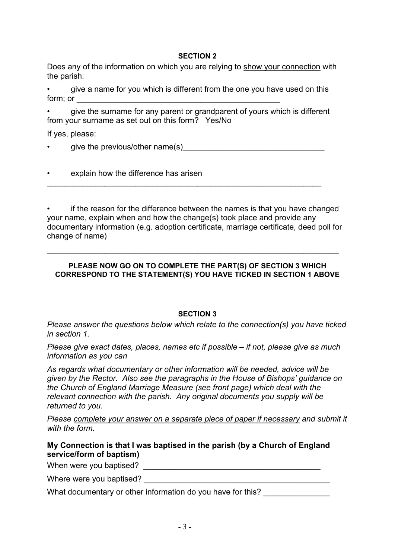#### **SECTION 2**

Does any of the information on which you are relying to show your connection with the parish:

• give a name for you which is different from the one you have used on this form; or  $\pm$ 

• give the surname for any parent or grandparent of yours which is different from your surname as set out on this form? Yes/No

If yes, please:

give the previous/other name(s)

 $\_$  , and the set of the set of the set of the set of the set of the set of the set of the set of the set of the set of the set of the set of the set of the set of the set of the set of the set of the set of the set of th

|  | explain how the difference has arisen |
|--|---------------------------------------|
|--|---------------------------------------|

• if the reason for the difference between the names is that you have changed your name, explain when and how the change(s) took place and provide any documentary information (e.g. adoption certificate, marriage certificate, deed poll for change of name)

\_\_\_\_\_\_\_\_\_\_\_\_\_\_\_\_\_\_\_\_\_\_\_\_\_\_\_\_\_\_\_\_\_\_\_\_\_\_\_\_\_\_\_\_\_\_\_\_\_\_\_\_\_\_\_\_\_\_\_\_\_\_\_\_\_\_

#### **PLEASE NOW GO ON TO COMPLETE THE PART(S) OF SECTION 3 WHICH CORRESPOND TO THE STATEMENT(S) YOU HAVE TICKED IN SECTION 1 ABOVE**

#### **SECTION 3**

*Please answer the questions below which relate to the connection(s) you have ticked in section 1.* 

*Please give exact dates, places, names etc if possible – if not, please give as much information as you can* 

*As regards what documentary or other information will be needed, advice will be given by the Rector. Also see the paragraphs in the House of Bishops' guidance on the Church of England Marriage Measure (see front page) which deal with the relevant connection with the parish. Any original documents you supply will be returned to you.* 

*Please complete your answer on a separate piece of paper if necessary and submit it with the form.* 

### **My Connection is that I was baptised in the parish (by a Church of England service/form of baptism)**

When were you baptised? When were you baptised?

Where were you baptised? \_\_\_\_\_\_\_\_\_\_\_\_\_\_\_\_\_\_\_\_\_\_\_\_\_\_\_\_\_\_\_\_\_\_\_\_\_\_\_\_\_\_

| What documentary or other information do you have for this? |  |
|-------------------------------------------------------------|--|
|                                                             |  |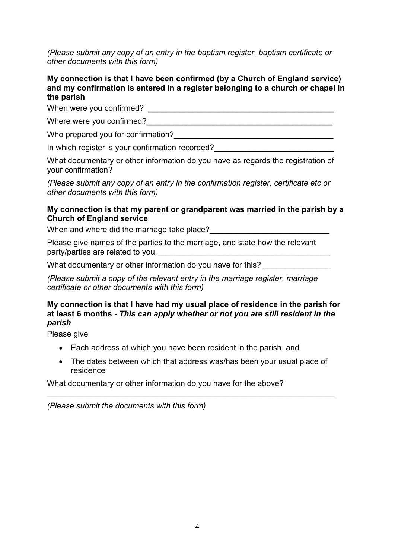*(Please submit any copy of an entry in the baptism register, baptism certificate or other documents with this form)*

#### **My connection is that I have been confirmed (by a Church of England service) and my confirmation is entered in a register belonging to a church or chapel in the parish**

When were you confirmed? When were you confirmed?

Where were you confirmed?\_\_\_\_\_\_\_\_\_\_\_\_\_\_\_\_\_\_\_\_\_\_\_\_\_\_\_\_\_\_\_\_\_\_\_\_\_\_\_\_\_\_

Who prepared you for confirmation?

In which register is your confirmation recorded?

What documentary or other information do you have as regards the registration of your confirmation?

*(Please submit any copy of an entry in the confirmation register, certificate etc or other documents with this form)*

#### **My connection is that my parent or grandparent was married in the parish by a Church of England service**

When and where did the marriage take place?

Please give names of the parties to the marriage, and state how the relevant party/parties are related to you.

What documentary or other information do you have for this?

*(Please submit a copy of the relevant entry in the marriage register, marriage certificate or other documents with this form)* 

#### **My connection is that I have had my usual place of residence in the parish for at least 6 months -** *This can apply whether or not you are still resident in the parish*

Please give

- Each address at which you have been resident in the parish, and
- The dates between which that address was/has been your usual place of residence

\_\_\_\_\_\_\_\_\_\_\_\_\_\_\_\_\_\_\_\_\_\_\_\_\_\_\_\_\_\_\_\_\_\_\_\_\_\_\_\_\_\_\_\_\_\_\_\_\_\_\_\_\_\_\_\_\_\_\_\_\_\_\_\_\_

What documentary or other information do you have for the above?

*(Please submit the documents with this form)*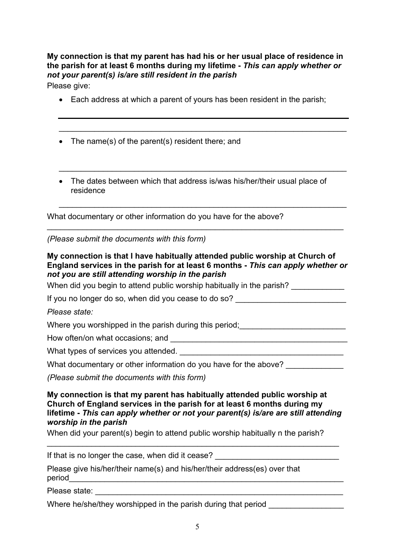**My connection is that my parent has had his or her usual place of residence in the parish for at least 6 months during my lifetime -** *This can apply whether or not your parent(s) is/are still resident in the parish* 

Please give:

• Each address at which a parent of yours has been resident in the parish;

\_\_\_\_\_\_\_\_\_\_\_\_\_\_\_\_\_\_\_\_\_\_\_\_\_\_\_\_\_\_\_\_\_\_\_\_\_\_\_\_\_\_\_\_\_\_\_\_\_\_\_\_\_\_\_\_\_\_\_\_\_\_\_\_\_

\_\_\_\_\_\_\_\_\_\_\_\_\_\_\_\_\_\_\_\_\_\_\_\_\_\_\_\_\_\_\_\_\_\_\_\_\_\_\_\_\_\_\_\_\_\_\_\_\_\_\_\_\_\_\_\_\_\_\_\_\_\_\_\_\_

 $\_$  , and the set of the set of the set of the set of the set of the set of the set of the set of the set of the set of the set of the set of the set of the set of the set of the set of the set of the set of the set of th

- The name(s) of the parent(s) resident there; and
- The dates between which that address is/was his/her/their usual place of residence

What documentary or other information do you have for the above?

*(Please submit the documents with this form)* 

**My connection is that I have habitually attended public worship at Church of England services in the parish for at least 6 months -** *This can apply whether or not you are still attending worship in the parish* 

\_\_\_\_\_\_\_\_\_\_\_\_\_\_\_\_\_\_\_\_\_\_\_\_\_\_\_\_\_\_\_\_\_\_\_\_\_\_\_\_\_\_\_\_\_\_\_\_\_\_\_\_\_\_\_\_\_\_\_\_\_\_\_\_\_\_\_

When did you begin to attend public worship habitually in the parish?

If you no longer do so, when did you cease to do so?

*Please state:* 

Where you worshipped in the parish during this period;

How often/on what occasions; and \_\_\_\_\_\_\_\_\_\_\_\_\_\_\_\_\_\_\_\_\_\_\_\_\_\_\_\_\_\_\_\_\_\_\_\_\_\_\_\_

What types of services you attended.

What documentary or other information do you have for the above?

*(Please submit the documents with this form)* 

**My connection is that my parent has habitually attended public worship at Church of England services in the parish for at least 6 months during my lifetime -** *This can apply whether or not your parent(s) is/are are still attending worship in the parish* 

\_\_\_\_\_\_\_\_\_\_\_\_\_\_\_\_\_\_\_\_\_\_\_\_\_\_\_\_\_\_\_\_\_\_\_\_\_\_\_\_\_\_\_\_\_\_\_\_\_\_\_\_\_\_\_\_\_\_\_\_\_\_\_\_\_\_

When did your parent(s) begin to attend public worship habitually n the parish?

If that is no longer the case, when did it cease?

Please give his/her/their name(s) and his/her/their address(es) over that period\_\_\_\_\_\_\_\_\_\_\_\_\_\_\_\_\_\_\_\_\_\_\_\_\_\_\_\_\_\_\_\_\_\_\_\_\_\_\_\_\_\_\_\_\_\_\_\_\_\_\_\_\_\_\_\_\_\_\_\_\_\_

Please state:

Where he/she/they worshipped in the parish during that period